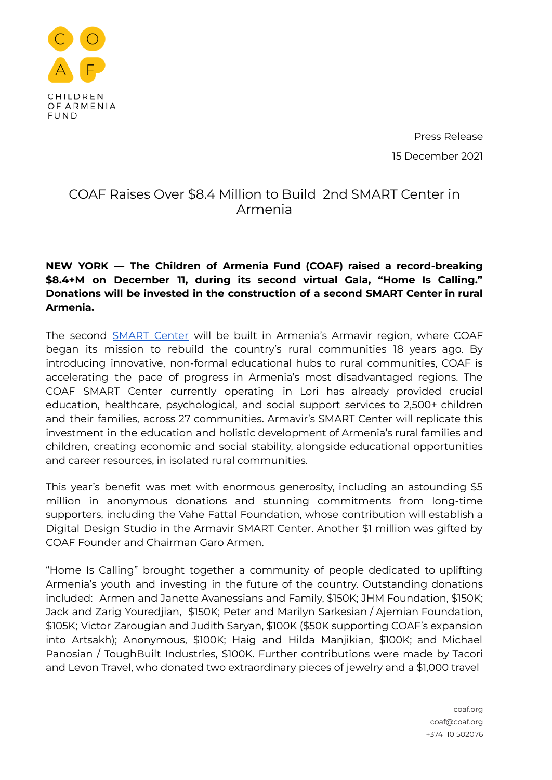

Press Release 15 December 2021

## COAF Raises Over \$8.4 Million to Build 2nd SMART Center in Armenia

## **NEW YORK — The Children of Armenia Fund (COAF) raised a record-breaking \$8.4+M on December 11, during its second virtual Gala, "Home Is Calling." Donations will be invested in the construction of a second SMART Center in rural Armenia.**

The second [SMART](https://www.coaf.org/en/smart-programs/smart-center/) Center will be built in Armenia's Armavir region, where COAF began its mission to rebuild the country's rural communities 18 years ago. By introducing innovative, non-formal educational hubs to rural communities, COAF is accelerating the pace of progress in Armenia's most disadvantaged regions. The COAF SMART Center currently operating in Lori has already provided crucial education, healthcare, psychological, and social support services to 2,500+ children and their families, across 27 communities. Armavir's SMART Center will replicate this investment in the education and holistic development of Armenia's rural families and children, creating economic and social stability, alongside educational opportunities and career resources, in isolated rural communities.

This year's benefit was met with enormous generosity, including an astounding \$5 million in anonymous donations and stunning commitments from long-time supporters, including the Vahe Fattal Foundation, whose contribution will establish a Digital Design Studio in the Armavir SMART Center. Another \$1 million was gifted by COAF Founder and Chairman Garo Armen.

"Home Is Calling" brought together a community of people dedicated to uplifting Armenia's youth and investing in the future of the country. Outstanding donations included: Armen and Janette Avanessians and Family, \$150K; JHM Foundation, \$150K; Jack and Zarig Youredjian, \$150K; Peter and Marilyn Sarkesian / Ajemian Foundation, \$105K; Victor Zarougian and Judith Saryan, \$100K (\$50K supporting COAF's expansion into Artsakh); Anonymous, \$100K; Haig and Hilda Manjikian, \$100K; and Michael Panosian / ToughBuilt Industries, \$100K. Further contributions were made by Tacori and Levon Travel, who donated two extraordinary pieces of jewelry and a \$1,000 travel

> coaf.org coaf@coaf.org +374 10 502076